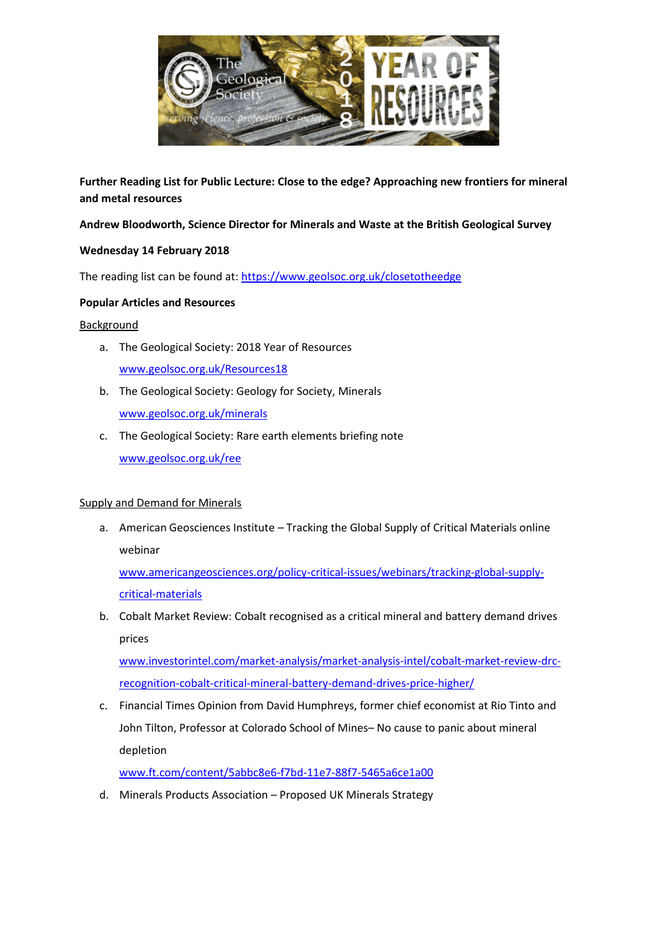

**Further Reading List for Public Lecture: Close to the edge? Approaching new frontiers for mineral and metal resources**

**Andrew Bloodworth, Science Director for Minerals and Waste at the British Geological Survey** 

# **Wednesday 14 February 2018**

The reading list can be found at: <https://www.geolsoc.org.uk/closetotheedge>

# **Popular Articles and Resources**

# Background

- a. The Geological Society: 2018 Year of Resources [www.geolsoc.org.uk/Resources18](http://www.geolsoc.org.uk/Resources18)
- b. The Geological Society: Geology for Society, Minerals [www.geolsoc.org.uk/minerals](http://www.geolsoc.org.uk/minerals)
- c. The Geological Society: Rare earth elements briefing note [www.geolsoc.org.uk/ree](http://www.geolsoc.org.uk/ree)

# Supply and Demand for Minerals

a. American Geosciences Institute – Tracking the Global Supply of Critical Materials online webinar

[www.americangeosciences.org/policy-critical-issues/webinars/tracking-global-supply](http://www.americangeosciences.org/policy-critical-issues/webinars/tracking-global-supply-critical-materials)[critical-materials](http://www.americangeosciences.org/policy-critical-issues/webinars/tracking-global-supply-critical-materials)

b. Cobalt Market Review: Cobalt recognised as a critical mineral and battery demand drives prices

[www.investorintel.com/market-analysis/market-analysis-intel/cobalt-market-review-drc](http://www.investorintel.com/market-analysis/market-analysis-intel/cobalt-market-review-drc-recognition-cobalt-critical-mineral-battery-demand-drives-price-higher/)[recognition-cobalt-critical-mineral-battery-demand-drives-price-higher/](http://www.investorintel.com/market-analysis/market-analysis-intel/cobalt-market-review-drc-recognition-cobalt-critical-mineral-battery-demand-drives-price-higher/)

c. Financial Times Opinion from David Humphreys, former chief economist at Rio Tinto and John Tilton, Professor at Colorado School of Mines– No cause to panic about mineral depletion

[www.ft.com/content/5abbc8e6-f7bd-11e7-88f7-5465a6ce1a00](http://www.ft.com/content/5abbc8e6-f7bd-11e7-88f7-5465a6ce1a00)

d. Minerals Products Association – Proposed UK Minerals Strategy